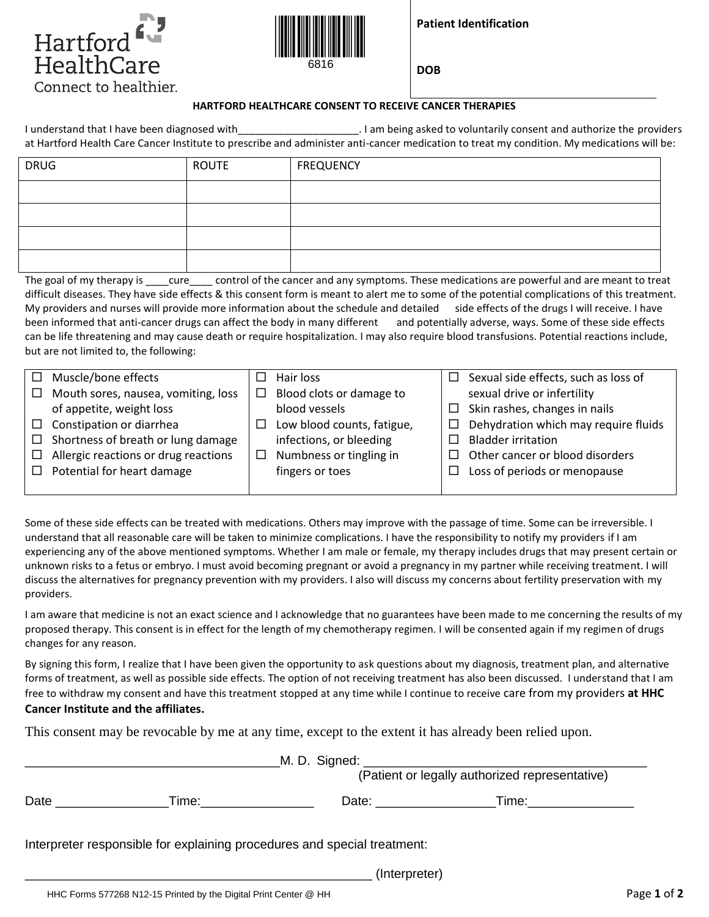



**Patient Identification**

**DOB**

## **HARTFORD HEALTHCARE CONSENT TO RECEIVE CANCER THERAPIES**

I understand that I have been diagnosed with **Exercise 2.1 am being asked to voluntarily** consent and authorize the providers at Hartford Health Care Cancer Institute to prescribe and administer anti-cancer medication to treat my condition. My medications will be:

| <b>DRUG</b> | <b>ROUTE</b> | <b>FREQUENCY</b> |
|-------------|--------------|------------------|
|             |              |                  |
|             |              |                  |
|             |              |                  |
|             |              |                  |

The goal of my therapy is \_\_\_\_cure \_\_\_\_\_ control of the cancer and any symptoms. These medications are powerful and are meant to treat difficult diseases. They have side effects & this consent form is meant to alert me to some of the potential complications of this treatment. My providers and nurses will provide more information about the schedule and detailed side effects of the drugs I will receive. I have been informed that anti-cancer drugs can affect the body in many different and potentially adverse, ways. Some of these side effects can be life threatening and may cause death or require hospitalization. I may also require blood transfusions. Potential reactions include, but are not limited to, the following:

| $\Box$ Muscle/bone effects                  |        | Hair loss                  | Sexual side effects, such as loss of |
|---------------------------------------------|--------|----------------------------|--------------------------------------|
| $\Box$ Mouth sores, nausea, vomiting, loss  | □      | Blood clots or damage to   | sexual drive or infertility          |
| of appetite, weight loss                    |        | blood vessels              | Skin rashes, changes in nails        |
| $\Box$ Constipation or diarrhea             |        | Low blood counts, fatigue, | Dehydration which may require fluids |
| $\Box$ Shortness of breath or lung damage   |        | infections, or bleeding    | <b>Bladder irritation</b>            |
| $\Box$ Allergic reactions or drug reactions | $\Box$ | Numbness or tingling in    | Other cancer or blood disorders      |
| $\Box$ Potential for heart damage           |        | fingers or toes            | Loss of periods or menopause         |
|                                             |        |                            |                                      |

Some of these side effects can be treated with medications. Others may improve with the passage of time. Some can be irreversible. I understand that all reasonable care will be taken to minimize complications. I have the responsibility to notify my providers if I am experiencing any of the above mentioned symptoms. Whether I am male or female, my therapy includes drugs that may present certain or unknown risks to a fetus or embryo. I must avoid becoming pregnant or avoid a pregnancy in my partner while receiving treatment. I will discuss the alternatives for pregnancy prevention with my providers. I also will discuss my concerns about fertility preservation with my providers.

I am aware that medicine is not an exact science and I acknowledge that no guarantees have been made to me concerning the results of my proposed therapy. This consent is in effect for the length of my chemotherapy regimen. I will be consented again if my regimen of drugs changes for any reason.

By signing this form, I realize that I have been given the opportunity to ask questions about my diagnosis, treatment plan, and alternative forms of treatment, as well as possible side effects. The option of not receiving treatment has also been discussed. I understand that I am free to withdraw my consent and have this treatment stopped at any time while I continue to receive care from my providers **at HHC Cancer Institute and the affiliates.**

This consent may be revocable by me at any time, except to the extent it has already been relied upon.

| (Patient or legally authorized representative) |                                                                          |                                                                                                                                                                                                                                |                                                                                                                                                                                                                                |  |  |
|------------------------------------------------|--------------------------------------------------------------------------|--------------------------------------------------------------------------------------------------------------------------------------------------------------------------------------------------------------------------------|--------------------------------------------------------------------------------------------------------------------------------------------------------------------------------------------------------------------------------|--|--|
| Date                                           |                                                                          | Date: the contract of the contract of the contract of the contract of the contract of the contract of the contract of the contract of the contract of the contract of the contract of the contract of the contract of the cont | Time: the contract of the contract of the contract of the contract of the contract of the contract of the contract of the contract of the contract of the contract of the contract of the contract of the contract of the cont |  |  |
|                                                | Interpreter responsible for explaining procedures and special treatment: |                                                                                                                                                                                                                                |                                                                                                                                                                                                                                |  |  |
|                                                |                                                                          | (Interpreter)                                                                                                                                                                                                                  |                                                                                                                                                                                                                                |  |  |